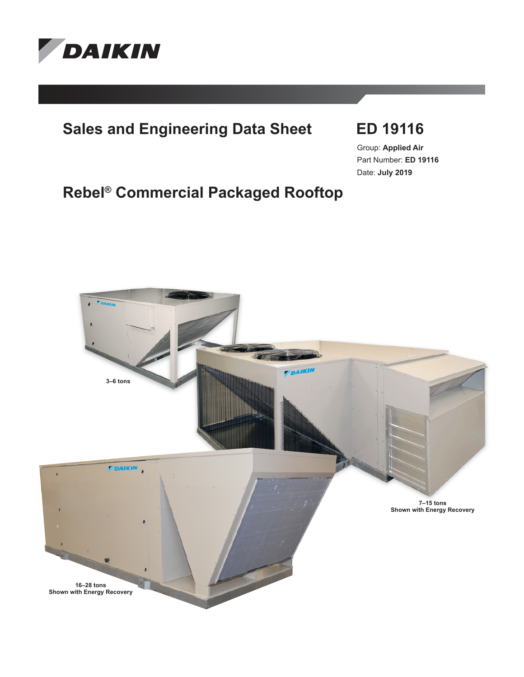

# **Sales and Engineering Data Sheet ED 19116**

Group: **Applied Air** Part Number: **ED 19116** Date: **July 2019**

# **Rebel® Commercial Packaged Rooftop**

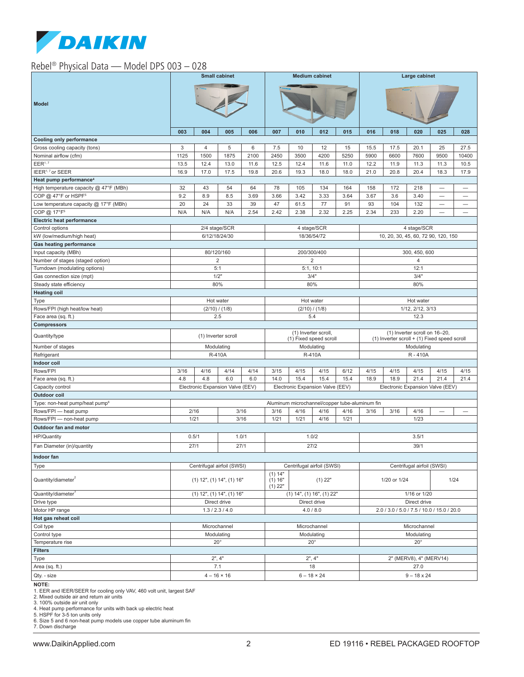

# Rebel® Physical Data — Model DPS 003 – 028

|                                                      | <b>Small cabinet</b>            |                |                                  | <b>Medium cabinet</b>                          |                                  |                                                | Large cabinet                                                                 |                                  |                         |                                     |                            |                          |                                  |
|------------------------------------------------------|---------------------------------|----------------|----------------------------------|------------------------------------------------|----------------------------------|------------------------------------------------|-------------------------------------------------------------------------------|----------------------------------|-------------------------|-------------------------------------|----------------------------|--------------------------|----------------------------------|
| <b>Model</b>                                         |                                 |                |                                  |                                                |                                  |                                                |                                                                               |                                  |                         |                                     |                            |                          |                                  |
|                                                      | 003                             | 004            | 005                              | 006                                            | 007                              | 010                                            | 012                                                                           | 015                              | 016                     | 018                                 | 020                        | 025                      | 028                              |
| Cooling only performance                             |                                 |                |                                  |                                                |                                  |                                                |                                                                               |                                  |                         |                                     |                            |                          |                                  |
| Gross cooling capacity (tons)                        | $\sqrt{3}$                      | $\overline{4}$ | 5                                | 6                                              | 7.5                              | 10                                             | 12                                                                            | 15                               | 15.5                    | 17.5                                | 20.1                       | 25                       | 27.5                             |
| Nominal airflow (cfm)                                | 1125                            | 1500           | 1875                             | 2100                                           | 2450                             | 3500                                           | 4200                                                                          | 5250                             | 5900                    | 6600                                | 7600                       | 9500                     | 10400                            |
| EER <sup>1, 7</sup>                                  | 13.5                            | 12.4           | 13.0                             | 11.6                                           | 12.5                             | 12.4                                           | 11.6                                                                          | 11.0                             | 12.2                    | 11.9                                | 11.3                       | 11.3                     | 10.5                             |
| IEER <sup>1, 7</sup> or SEER                         | 16.9                            | 17.0           | 17.5                             | 19.8                                           | 20.6                             | 19.3                                           | 18.0                                                                          | 18.0                             | 21.0                    | 20.8                                | 20.4                       | 18.3                     | 17.9                             |
| Heat pump performance <sup>4</sup>                   |                                 |                |                                  |                                                |                                  |                                                |                                                                               |                                  |                         |                                     |                            |                          |                                  |
| High temperature capacity @ 47°F (MBh)               | 32                              | 43             | 54                               | 64                                             | 78                               | 105                                            | 134                                                                           | 164                              | 158                     | 172                                 | 218                        |                          | $\overline{\phantom{0}}$         |
| COP @ 47°F or HSPF <sup>5</sup>                      | 9.2                             | 8.9            | 8.5                              | 3.69                                           | 3.66                             | 3.42                                           | 3.33                                                                          | 3.64                             | 3.67                    | 3.6                                 | 3.40                       | -                        | -                                |
| Low temperature capacity @ 17°F (MBh)                | 20                              | 24             | 33                               | 39                                             | 47                               | 61.5                                           | 77                                                                            | 91                               | 93                      | 104                                 | 132                        | $\overline{\phantom{0}}$ | $\overbrace{\phantom{12322111}}$ |
| COP @ 17°F <sup>5</sup>                              | N/A                             | N/A            | N/A                              | 2.54                                           | 2.42                             | 2.38                                           | 2.32                                                                          | 2.25                             | 2.34                    | 233                                 | 2.20                       | $\overline{\phantom{0}}$ | -                                |
| Electric heat performance                            |                                 |                |                                  |                                                |                                  |                                                |                                                                               |                                  |                         |                                     |                            |                          |                                  |
| Control options                                      |                                 |                | 2/4 stage/SCR                    |                                                |                                  |                                                | 4 stage/SCR                                                                   |                                  |                         |                                     | 4 stage/SCR                |                          |                                  |
| kW (low/medium/high heat)                            |                                 |                | 6/12/18/24/30                    |                                                |                                  |                                                | 18/36/54/72                                                                   |                                  |                         | 10, 20, 30, 45, 60, 72 90, 120, 150 |                            |                          |                                  |
| <b>Gas heating performance</b>                       |                                 |                |                                  |                                                |                                  |                                                |                                                                               |                                  |                         |                                     |                            |                          |                                  |
| Input capacity (MBh)                                 |                                 |                | 80/120/160                       |                                                |                                  | 200/300/400                                    |                                                                               |                                  | 300, 450, 600           |                                     |                            |                          |                                  |
| Number of stages (staged option)                     |                                 |                | $\overline{2}$                   |                                                | 2                                |                                                |                                                                               | 4                                |                         |                                     |                            |                          |                                  |
| Turndown (modulating options)                        |                                 | 1/2"           | 5:1                              |                                                |                                  | 5:1, 10:1                                      |                                                                               |                                  |                         |                                     | 12:1                       |                          |                                  |
| Gas connection size (mpt)<br>Steady state efficiency |                                 | 80%            |                                  |                                                | 3/4"<br>80%                      |                                                |                                                                               | 3/4"<br>80%                      |                         |                                     |                            |                          |                                  |
|                                                      |                                 |                |                                  |                                                |                                  |                                                |                                                                               |                                  |                         |                                     |                            |                          |                                  |
| <b>Heating coil</b>                                  |                                 | Hot water      |                                  |                                                |                                  |                                                |                                                                               |                                  |                         |                                     | Hot water                  |                          |                                  |
| Type<br>Rows/FPI (high heat/low heat)                |                                 |                | (2/10) / (1/8)                   |                                                | Hot water<br>(2/10) / (1/8)      |                                                |                                                                               | 1/12, 2/12, 3/13                 |                         |                                     |                            |                          |                                  |
| Face area (sq. ft.)                                  |                                 |                | 2.5                              |                                                | 5.4                              |                                                |                                                                               |                                  |                         | 12.3                                |                            |                          |                                  |
| <b>Compressors</b>                                   |                                 |                |                                  |                                                |                                  |                                                |                                                                               |                                  |                         |                                     |                            |                          |                                  |
| Quantity/type                                        | (1) Inverter scroll             |                |                                  | (1) Inverter scroll,<br>(1) Fixed speed scroll |                                  |                                                | (1) Inverter scroll on 16-20,<br>(1) Inverter scroll + (1) Fixed speed scroll |                                  |                         |                                     |                            |                          |                                  |
| Number of stages                                     |                                 |                | Modulating                       |                                                | Modulating                       |                                                |                                                                               |                                  |                         | Modulating                          |                            |                          |                                  |
| Refrigerant                                          |                                 |                | R-410A                           |                                                | R-410A                           |                                                |                                                                               |                                  |                         | R-410A                              |                            |                          |                                  |
| Indoor coil                                          |                                 |                |                                  |                                                |                                  |                                                |                                                                               |                                  |                         |                                     |                            |                          |                                  |
| Rows/FPI                                             | 3/16                            | 4/16           | 4/14                             | 4/14                                           | 3/15                             | 4/15                                           | 4/15                                                                          | 6/12                             | 4/15                    | 4/15                                | 4/15                       | 4/15                     | 4/15                             |
| Face area (sq. ft.)                                  | 4.8                             | 4.8            | 6.0                              | 6.0                                            | 14.0                             | 15.4                                           | 15.4                                                                          | 15.4                             | 18.9                    | 18.9                                | 21.4                       | 21.4                     | 21.4                             |
| Capacity control                                     |                                 |                | Electronic Expansion Valve (EEV) |                                                | Electronic Expansion Valve (EEV) |                                                |                                                                               | Electronic Expansion Valve (EEV) |                         |                                     |                            |                          |                                  |
| Outdoor coil                                         |                                 |                |                                  |                                                |                                  |                                                |                                                                               |                                  |                         |                                     |                            |                          |                                  |
| Type: non-heat pump/heat pump <sup>6</sup>           |                                 |                |                                  |                                                |                                  | Aluminum microchannel/copper tube-aluminum fin |                                                                               |                                  |                         |                                     |                            |                          |                                  |
| Rows/FPI - heat pump                                 | 2/16                            |                | 3/16                             |                                                | 3/16                             | 4/16                                           | 4/16                                                                          | 4/16                             | 3/16                    | 3/16                                | 4/16                       |                          |                                  |
| Rows/FPI - non-heat pump                             | 1/21                            |                |                                  | 3/16                                           | 1/21                             | 1/21                                           | 4/16                                                                          | 1/21                             |                         |                                     | 1/23                       |                          |                                  |
| Outdoor fan and motor                                |                                 |                |                                  |                                                |                                  |                                                |                                                                               |                                  |                         |                                     |                            |                          |                                  |
| <b>HP/Quantity</b>                                   | 0.5/1                           |                | 1.0/1                            |                                                | 1.0/2                            |                                                |                                                                               |                                  |                         | 3.5/1                               |                            |                          |                                  |
| Fan Diameter (in)/quantity                           | 27/1                            |                | 27/1                             |                                                | 27/2                             |                                                |                                                                               | 39/1                             |                         |                                     |                            |                          |                                  |
| Indoor fan                                           |                                 |                |                                  |                                                |                                  |                                                |                                                                               |                                  |                         |                                     |                            |                          |                                  |
| Type                                                 |                                 |                | Centrifugal airfoil (SWSI)       |                                                |                                  | Centrifugal airfoil (SWSI)                     |                                                                               |                                  |                         |                                     | Centrifugal airfoil (SWSI) |                          |                                  |
| Quantity/diameter                                    | $(1)$ 12", $(1)$ 14", $(1)$ 16" |                |                                  | (1) 14"<br>(1) 16"<br>$(1)$ 22"<br>$(1)$ 22"   |                                  |                                                | 1/20 or 1/24<br>1/24                                                          |                                  |                         |                                     |                            |                          |                                  |
| Quantity/diameter                                    | $(1)$ 12", $(1)$ 14", $(1)$ 16" |                |                                  | $(1)$ 14", $(1)$ 16", $(1)$ 22"                |                                  |                                                | 1/16 or 1/20                                                                  |                                  |                         |                                     |                            |                          |                                  |
| Drive type                                           | Direct drive                    |                |                                  | Direct drive                                   |                                  |                                                | Direct drive                                                                  |                                  |                         |                                     |                            |                          |                                  |
| Motor HP range                                       | 1.3 / 2.3 / 4.0                 |                |                                  | 4.0 / 8.0                                      |                                  |                                                | 2.0 / 3.0 / 5.0 / 7.5 / 10.0 / 15.0 / 20.0                                    |                                  |                         |                                     |                            |                          |                                  |
| Hot gas reheat coil                                  |                                 |                |                                  |                                                |                                  |                                                |                                                                               |                                  |                         |                                     |                            |                          |                                  |
| Coil type                                            | Microchannel                    |                |                                  | Microchannel                                   |                                  |                                                | Microchannel                                                                  |                                  |                         |                                     |                            |                          |                                  |
| Control type                                         | Modulating                      |                |                                  | Modulating                                     |                                  |                                                | Modulating                                                                    |                                  |                         |                                     |                            |                          |                                  |
| Temperature rise                                     | $20^{\circ}$                    |                |                                  | $20^{\circ}$                                   |                                  |                                                | $20^{\circ}$                                                                  |                                  |                         |                                     |                            |                          |                                  |
| <b>Filters</b>                                       |                                 |                |                                  |                                                |                                  |                                                |                                                                               |                                  |                         |                                     |                            |                          |                                  |
| Type                                                 | 2", 4"                          |                |                                  |                                                |                                  | 2", 4"                                         |                                                                               |                                  | 2" (MERV8), 4" (MERV14) |                                     |                            |                          |                                  |
| Area (sq. ft.)                                       |                                 |                | 7.1                              |                                                |                                  |                                                | 18                                                                            |                                  | 27.0                    |                                     |                            |                          |                                  |
| Qty. - size                                          |                                 |                | $4 - 16 \times 16$               |                                                |                                  |                                                | $6 - 18 \times 24$                                                            |                                  | $9 - 18 \times 24$      |                                     |                            |                          |                                  |
|                                                      |                                 |                |                                  |                                                |                                  |                                                |                                                                               |                                  |                         |                                     |                            |                          |                                  |

**NOTE:**<br>1. EER and IEER/SEER for cooling only VAV, 460 volt unit, largest SAF<br>2. Mixed outside air and return air units<br>3. 100% outside air unit only<br>4. Heat pump performance for units with back up electric heat<br>5. HSPF fo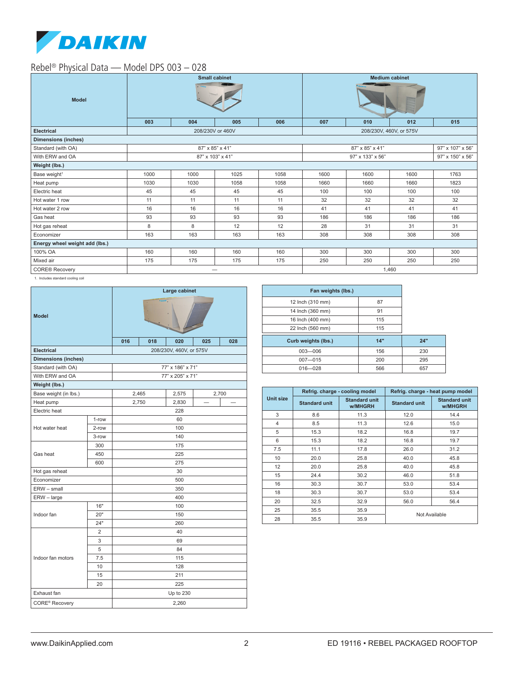

# Rebel® Physical Data — Model DPS 003 – 028

| <b>Model</b>                   |      |      | <b>Small cabinet</b> |      | <b>Medium cabinet</b>   |                  |      |      |  |
|--------------------------------|------|------|----------------------|------|-------------------------|------------------|------|------|--|
|                                | 003  | 004  | 005                  | 006  | 007                     | 010              | 012  | 015  |  |
| <b>Electrical</b>              |      |      | 208/230V or 460V     |      | 208/230V, 460V, or 575V |                  |      |      |  |
| <b>Dimensions (inches)</b>     |      |      |                      |      |                         |                  |      |      |  |
| Standard (with OA)             |      |      | 87" x 85" x 41"      |      |                         | 97" x 107" x 56" |      |      |  |
| With ERW and OA                |      |      | 87" x 103" x 41"     |      |                         | 97" x 150" x 56" |      |      |  |
| Weight (lbs.)                  |      |      |                      |      |                         |                  |      |      |  |
| Base weight <sup>1</sup>       | 1000 | 1000 | 1025                 | 1058 | 1600                    | 1600             | 1600 | 1763 |  |
| Heat pump                      | 1030 | 1030 | 1058                 | 1058 | 1660                    | 1660             | 1660 | 1823 |  |
| Electric heat                  | 45   | 45   | 45                   | 45   | 100                     | 100              | 100  | 100  |  |
| Hot water 1 row                | 11   | 11   | 11                   | 11   | 32                      | 32               | 32   | 32   |  |
| Hot water 2 row                | 16   | 16   | 16                   | 16   | 41                      | 41               | 41   | 41   |  |
| Gas heat                       | 93   | 93   | 93                   | 93   | 186                     | 186              | 186  | 186  |  |
| Hot gas reheat                 | 8    | 8    | 12                   | 12   | 28                      | 31               | 31   | 31   |  |
| Economizer                     | 163  | 163  | 163                  | 163  | 308                     | 308              | 308  | 308  |  |
| Energy wheel weight add (lbs.) |      |      |                      |      |                         |                  |      |      |  |
| 100% OA                        | 160  | 160  | 160                  | 160  | 300                     | 300              | 300  | 300  |  |
| Mixed air                      | 175  | 175  | 175                  | 175  | 250                     | 250              | 250  | 250  |  |
| <b>CORE® Recovery</b>          |      |      |                      |      | 1,460                   |                  |      |      |  |

1. Includes standard cooling coil

| <b>Model</b>               |                | Large cabinet<br><b>Fancis</b> |       |                         |     |       |  |  |  |
|----------------------------|----------------|--------------------------------|-------|-------------------------|-----|-------|--|--|--|
|                            |                | 016                            | 018   | 020                     | 025 | 028   |  |  |  |
| <b>Electrical</b>          |                |                                |       | 208/230V, 460V, or 575V |     |       |  |  |  |
| <b>Dimensions (inches)</b> |                |                                |       |                         |     |       |  |  |  |
| Standard (with OA)         |                |                                |       | 77" x 186" x 71"        |     |       |  |  |  |
| With ERW and OA            |                |                                |       | 77" x 205" x 71"        |     |       |  |  |  |
| Weight (lbs.)              |                |                                |       |                         |     |       |  |  |  |
| Base weight (in lbs.)      |                |                                | 2,465 | 2,575                   |     | 2,700 |  |  |  |
| Heat pump                  |                |                                | 2,750 | 2,830                   | -   |       |  |  |  |
| Electric heat              |                |                                |       | 228                     |     |       |  |  |  |
|                            | 1-row          | 60                             |       |                         |     |       |  |  |  |
| Hot water heat             | 2-row          | 100                            |       |                         |     |       |  |  |  |
|                            | 3-row          | 140                            |       |                         |     |       |  |  |  |
| Gas heat                   | 300<br>450     | 175<br>225                     |       |                         |     |       |  |  |  |
|                            | 600            | 275                            |       |                         |     |       |  |  |  |
| Hot gas reheat             |                | 30                             |       |                         |     |       |  |  |  |
| Economizer                 |                | 500                            |       |                         |     |       |  |  |  |
| ERW - small                |                | 350                            |       |                         |     |       |  |  |  |
| ERW - large                |                | 400                            |       |                         |     |       |  |  |  |
|                            | 16"            | 100                            |       |                         |     |       |  |  |  |
| Indoor fan                 | 20"            | 150                            |       |                         |     |       |  |  |  |
|                            | 24"            | 260                            |       |                         |     |       |  |  |  |
|                            | $\overline{2}$ | 40                             |       |                         |     |       |  |  |  |
|                            | 3              | 69                             |       |                         |     |       |  |  |  |
| Indoor fan motors          | 5              | 84                             |       |                         |     |       |  |  |  |
|                            | 7.5            | 115                            |       |                         |     |       |  |  |  |
|                            | 10             | 128                            |       |                         |     |       |  |  |  |
|                            | 15             | 211                            |       |                         |     |       |  |  |  |
| 20                         |                | 225                            |       |                         |     |       |  |  |  |
| Exhaust fan                |                | Up to 230                      |       |                         |     |       |  |  |  |
| CORE <sup>®</sup> Recovery |                | 2,260                          |       |                         |     |       |  |  |  |

| Fan weights (lbs.)  |     |     |
|---------------------|-----|-----|
| 12 Inch (310 mm)    | 87  |     |
| 14 Inch (360 mm)    | 91  |     |
| 16 Inch (400 mm)    | 115 |     |
| 22 Inch (560 mm)    | 115 |     |
| Curb weights (lbs.) | 14" | 24" |
| $003 - 006$         | 156 | 230 |
| $007 - 015$         | 200 | 295 |
| $016 - 028$         | 566 | 657 |

|           |                      | Refrig. charge - cooling model  | Refrig. charge - heat pump model |                                 |  |  |
|-----------|----------------------|---------------------------------|----------------------------------|---------------------------------|--|--|
| Unit size | <b>Standard unit</b> | <b>Standard unit</b><br>w/MHGRH | <b>Standard unit</b>             | <b>Standard unit</b><br>w/MHGRH |  |  |
| 3         | 8.6                  | 11.3                            | 12.0                             | 14.4                            |  |  |
| 4         | 8.5                  | 11.3                            | 12.6                             | 15.0                            |  |  |
| 5         | 15.3                 | 18.2                            | 16.8                             | 19.7                            |  |  |
| 6         | 15.3                 | 18.2                            | 16.8                             | 19.7                            |  |  |
| 7.5       | 11.1                 | 17.8                            | 26.0                             | 31.2                            |  |  |
| 10        | 20.0                 | 25.8                            | 40.0                             | 45.8                            |  |  |
| 12        | 20.0                 | 25.8                            | 40.0                             | 45.8                            |  |  |
| 15        | 24.4                 | 30.2                            | 46.0                             | 51.8                            |  |  |
| 16        | 30.3                 | 30.7                            | 53.0                             | 53.4                            |  |  |
| 18        | 30.3                 | 30.7                            | 53.0                             | 53.4                            |  |  |
| 20        | 32.5                 | 32.9                            | 56.0                             | 56.4                            |  |  |
| 25        | 35.5                 | 35.9                            |                                  |                                 |  |  |
| 28        | 35.5                 | 35.9                            | Not Available                    |                                 |  |  |